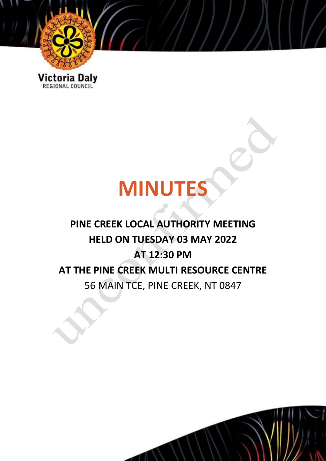

Victoria Daly

# **MINUTES**

# **PINE CREEK LOCAL AUTHORITY MEETING HELD ON TUESDAY 03 MAY 2022 AT 12:30 PM AT THE PINE CREEK MULTI RESOURCE CENTRE** 56 MAIN TCE, PINE CREEK, NT 0847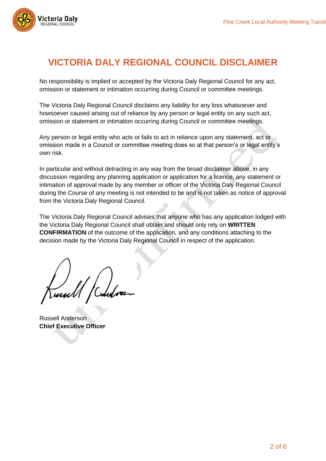

# **VICTORIA DALY REGIONAL COUNCIL DISCLAIMER**

No responsibility is implied or accepted by the Victoria Daly Regional Council for any act, omission or statement or intimation occurring during Council or committee meetings.

The Victoria Daly Regional Council disclaims any liability for any loss whatsoever and howsoever caused arising out of reliance by any person or legal entity on any such act, omission or statement or intimation occurring during Council or committee meetings.

Any person or legal entity who acts or fails to act in reliance upon any statement, act or omission made in a Council or committee meeting does so at that person's or legal entity's own risk.

In particular and without detracting in any way from the broad disclaimer above, in any discussion regarding any planning application or application for a licence, any statement or intimation of approval made by any member or officer of the Victoria Daly Regional Council during the Course of any meeting is not intended to be and is not taken as notice of approval from the Victoria Daly Regional Council.

The Victoria Daly Regional Council advises that anyone who has any application lodged with the Victoria Daly Regional Council shall obtain and should only rely on **WRITTEN CONFIRMATION** of the outcome of the application, and any conditions attaching to the decision made by the Victoria Daly Regional Council in respect of the application.

Russell Anderson **Chief Executive Officer**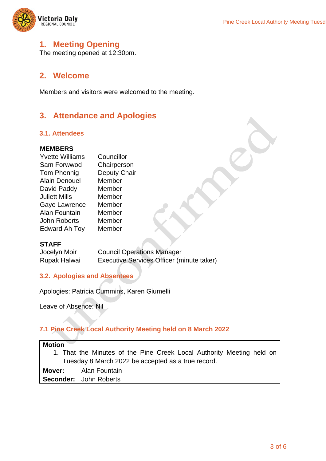

### **1. Meeting Opening**

The meeting opened at 12:30pm.

#### **2. Welcome**

Members and visitors were welcomed to the meeting.

#### **3. Attendance and Apologies**

#### **3.1. Attendees**

#### **MEMBERS**

| <b>Yvette Williams</b> | Councillor          |
|------------------------|---------------------|
| Sam Forwwod            | Chairperson         |
| Tom Phennig            | <b>Deputy Chair</b> |
| <b>Alain Denouel</b>   | Member              |
| David Paddy            | Member              |
| <b>Juliett Mills</b>   | Member              |
| Gaye Lawrence          | Member              |
| Alan Fountain          | Member              |
| <b>John Roberts</b>    | Member              |
| Edward Ah Toy          | Member              |

#### **STAFF**

Jocelyn Moir Council Operations Manager Rupak Halwai Executive Services Officer (minute taker)

#### **3.2. Apologies and Absentees**

Apologies: Patricia Cummins, Karen Giumelli

Leave of Absence: Nil

#### **7.1 Pine Creek Local Authority Meeting held on 8 March 2022**

| <b>Motion</b> |                                                                       |
|---------------|-----------------------------------------------------------------------|
|               | 1. That the Minutes of the Pine Creek Local Authority Meeting held on |
|               | Tuesday 8 March 2022 be accepted as a true record.                    |
|               | <b>Mover:</b> Alan Fountain                                           |
|               | <b>Seconder:</b> John Roberts                                         |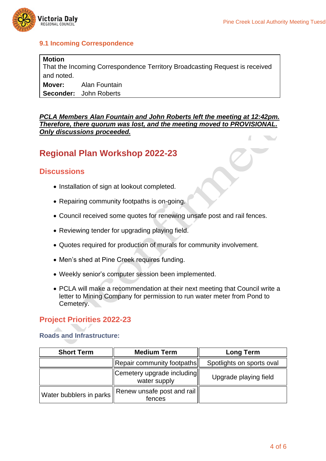

#### **9.1 Incoming Correspondence**

| <b>Motion</b> |                                                                             |
|---------------|-----------------------------------------------------------------------------|
|               | That the Incoming Correspondence Territory Broadcasting Request is received |
| and noted.    |                                                                             |
|               | <b>Mover:</b> Alan Fountain                                                 |
|               | <b>Seconder:</b> John Roberts                                               |

*PCLA Members Alan Fountain and John Roberts left the meeting at 12:42pm. Therefore, there quorum was lost, and the meeting moved to PROVISIONAL. Only discussions proceeded.*  $\sqrt{2}$ 

# **Regional Plan Workshop 2022-23**

#### **Discussions**

- Installation of sign at lookout completed.
- Repairing community footpaths is on-going.
- Council received some quotes for renewing unsafe post and rail fences.
- Reviewing tender for upgrading playing field.
- Quotes required for production of murals for community involvement.
- Men's shed at Pine Creek requires funding.
- Weekly senior's computer session been implemented.
- PCLA will make a recommendation at their next meeting that Council write a letter to Mining Company for permission to run water meter from Pond to Cemetery.

#### **Project Priorities 2022-23**

#### **Roads and Infrastructure:**

| <b>Short Term</b>       | <b>Medium Term</b>                                 | <b>Long Term</b>          |
|-------------------------|----------------------------------------------------|---------------------------|
|                         | $\parallel$ Repair community footpaths $\parallel$ | Spotlights on sports oval |
|                         | Cemetery upgrade including<br>water supply         | Upgrade playing field     |
| Water bubblers in parks | Renew unsafe post and rail<br>fences               |                           |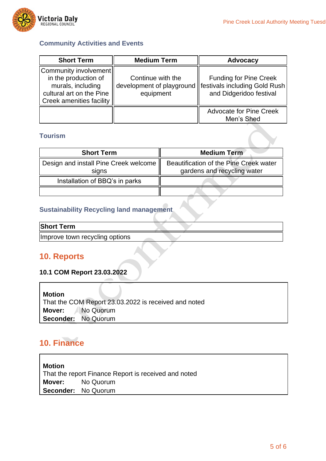

#### **Community Activities and Events**

| <b>Short Term</b>                                                                                                          | <b>Medium Term</b>                                          | <b>Advocacy</b>                                                                           |
|----------------------------------------------------------------------------------------------------------------------------|-------------------------------------------------------------|-------------------------------------------------------------------------------------------|
| Community involvement<br>in the production of<br>murals, including<br>cultural art on the Pine<br>Creek amenities facility | Continue with the<br>development of playground<br>equipment | <b>Funding for Pine Creek</b><br>festivals including Gold Rush<br>and Didgeridoo festival |
|                                                                                                                            |                                                             | <b>Advocate for Pine Creek</b><br>Men's Shed                                              |

#### **Tourism**

| <b>Short Term</b>                              | <b>Medium Term</b>                                                    |
|------------------------------------------------|-----------------------------------------------------------------------|
| Design and install Pine Creek welcome<br>signs | Beautification of the Pine Creek water<br>gardens and recycling water |
| Installation of BBQ's in parks                 |                                                                       |
|                                                |                                                                       |

#### **Sustainability Recycling land management**

Improve town recycling options

## **10. Reports**

#### **10.1 COM Report 23.03.2022**

| <b>Motion</b> | That the COM Report 23.03.2022 is received and noted |
|---------------|------------------------------------------------------|
|               | Mover: No Quorum                                     |
|               | Seconder: No Quorum                                  |

# **10. Finance**

**Motion** That the report Finance Report is received and noted **Mover:** No Quorum **Seconder:** No Quorum